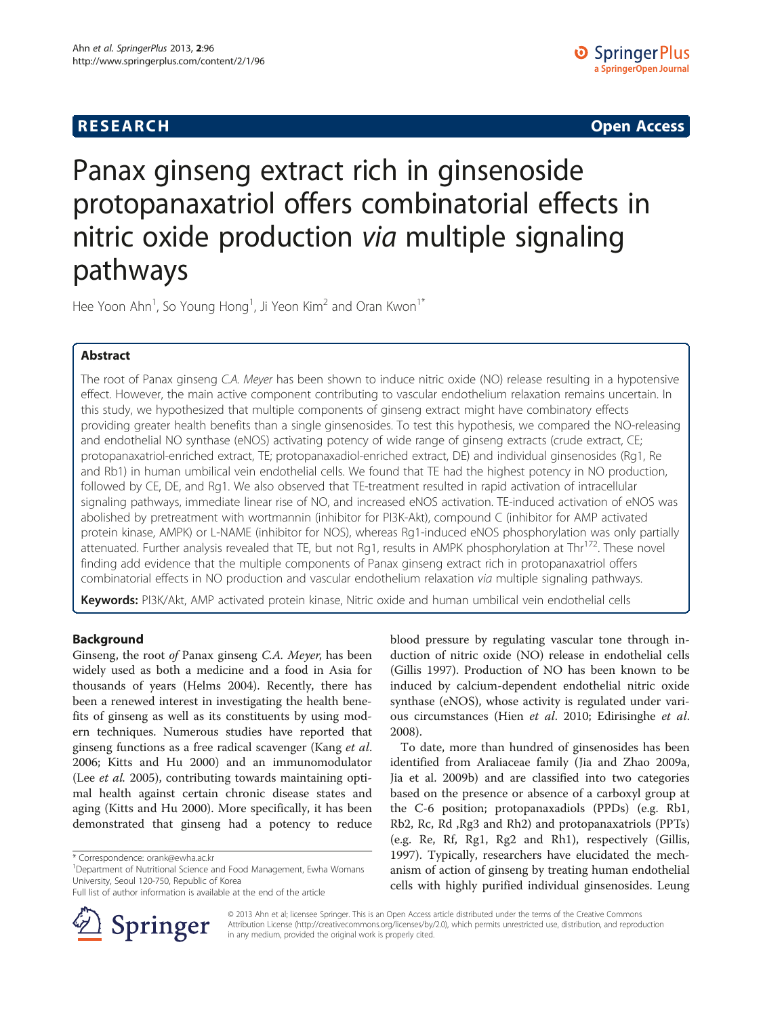## **RESEARCH RESEARCH CONSUMING ACCESS**

# Panax ginseng extract rich in ginsenoside protopanaxatriol offers combinatorial effects in nitric oxide production via multiple signaling pathways

Hee Yoon Ahn<sup>1</sup>, So Young Hong<sup>1</sup>, Ji Yeon Kim<sup>2</sup> and Oran Kwon<sup>1\*</sup>

## Abstract

The root of Panax ginseng C.A. Meyer has been shown to induce nitric oxide (NO) release resulting in a hypotensive effect. However, the main active component contributing to vascular endothelium relaxation remains uncertain. In this study, we hypothesized that multiple components of ginseng extract might have combinatory effects providing greater health benefits than a single ginsenosides. To test this hypothesis, we compared the NO-releasing and endothelial NO synthase (eNOS) activating potency of wide range of ginseng extracts (crude extract, CE; protopanaxatriol-enriched extract, TE; protopanaxadiol-enriched extract, DE) and individual ginsenosides (Rg1, Re and Rb1) in human umbilical vein endothelial cells. We found that TE had the highest potency in NO production, followed by CE, DE, and Rg1. We also observed that TE-treatment resulted in rapid activation of intracellular signaling pathways, immediate linear rise of NO, and increased eNOS activation. TE-induced activation of eNOS was abolished by pretreatment with wortmannin (inhibitor for PI3K-Akt), compound C (inhibitor for AMP activated protein kinase, AMPK) or L-NAME (inhibitor for NOS), whereas Rg1-induced eNOS phosphorylation was only partially attenuated. Further analysis revealed that TE, but not Rg1, results in AMPK phosphorylation at Thr<sup>172</sup>. These novel finding add evidence that the multiple components of Panax ginseng extract rich in protopanaxatriol offers combinatorial effects in NO production and vascular endothelium relaxation via multiple signaling pathways.

Keywords: PI3K/Akt, AMP activated protein kinase, Nitric oxide and human umbilical vein endothelial cells

## Background

Ginseng, the root of Panax ginseng C.A. Meyer, has been widely used as both a medicine and a food in Asia for thousands of years (Helms [2004\)](#page-5-0). Recently, there has been a renewed interest in investigating the health benefits of ginseng as well as its constituents by using modern techniques. Numerous studies have reported that ginseng functions as a free radical scavenger (Kang et al. [2006](#page-6-0); Kitts and Hu [2000](#page-6-0)) and an immunomodulator (Lee et al. [2005](#page-6-0)), contributing towards maintaining optimal health against certain chronic disease states and aging (Kitts and Hu [2000\)](#page-6-0). More specifically, it has been demonstrated that ginseng had a potency to reduce

Full list of author information is available at the end of the article



blood pressure by regulating vascular tone through induction of nitric oxide (NO) release in endothelial cells (Gillis [1997\)](#page-5-0). Production of NO has been known to be induced by calcium-dependent endothelial nitric oxide synthase (eNOS), whose activity is regulated under various circumstances (Hien et al. [2010;](#page-5-0) Edirisinghe et al. [2008](#page-5-0)).

To date, more than hundred of ginsenosides has been identified from Araliaceae family (Jia and Zhao [2009a](#page-5-0), Jia et al. [2009b](#page-5-0)) and are classified into two categories based on the presence or absence of a carboxyl group at the C-6 position; protopanaxadiols (PPDs) (e.g. Rb1, Rb2, Rc, Rd ,Rg3 and Rh2) and protopanaxatriols (PPTs) (e.g. Re, Rf, Rg1, Rg2 and Rh1), respectively (Gillis, [1997](#page-5-0)). Typically, researchers have elucidated the mechanism of action of ginseng by treating human endothelial cells with highly purified individual ginsenosides. Leung

© 2013 Ahn et al; licensee Springer. This is an Open Access article distributed under the terms of the Creative Commons Attribution License [\(http://creativecommons.org/licenses/by/2.0\)](http://creativecommons.org/licenses/by/2.0), which permits unrestricted use, distribution, and reproduction in any medium, provided the original work is properly cited.

<sup>\*</sup> Correspondence: [orank@ewha.ac.kr](mailto:orank@ewha.ac.kr) <sup>1</sup>

<sup>&</sup>lt;sup>1</sup>Department of Nutritional Science and Food Management, Ewha Womans University, Seoul 120-750, Republic of Korea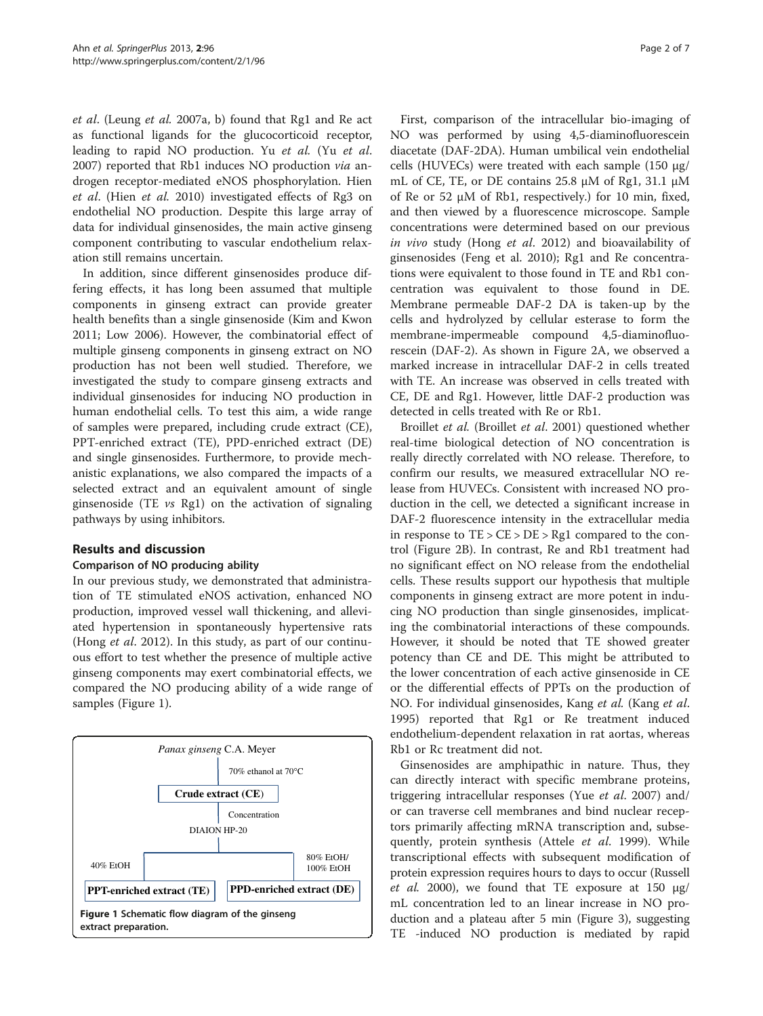<span id="page-1-0"></span>et al. (Leung et al. [2007a](#page-6-0), [b\)](#page-6-0) found that Rg1 and Re act as functional ligands for the glucocorticoid receptor, leading to rapid NO production. Yu et al. (Yu et al. [2007](#page-6-0)) reported that Rb1 induces NO production via androgen receptor-mediated eNOS phosphorylation. Hien et al. (Hien et al. [2010\)](#page-5-0) investigated effects of Rg3 on endothelial NO production. Despite this large array of data for individual ginsenosides, the main active ginseng component contributing to vascular endothelium relaxation still remains uncertain.

In addition, since different ginsenosides produce differing effects, it has long been assumed that multiple components in ginseng extract can provide greater health benefits than a single ginsenoside (Kim and Kwon [2011](#page-6-0); Low [2006\)](#page-6-0). However, the combinatorial effect of multiple ginseng components in ginseng extract on NO production has not been well studied. Therefore, we investigated the study to compare ginseng extracts and individual ginsenosides for inducing NO production in human endothelial cells. To test this aim, a wide range of samples were prepared, including crude extract (CE), PPT-enriched extract (TE), PPD-enriched extract (DE) and single ginsenosides. Furthermore, to provide mechanistic explanations, we also compared the impacts of a selected extract and an equivalent amount of single ginsenoside (TE vs Rg1) on the activation of signaling pathways by using inhibitors.

## Results and discussion

## Comparison of NO producing ability

In our previous study, we demonstrated that administration of TE stimulated eNOS activation, enhanced NO production, improved vessel wall thickening, and alleviated hypertension in spontaneously hypertensive rats (Hong et al. [2012\)](#page-5-0). In this study, as part of our continuous effort to test whether the presence of multiple active ginseng components may exert combinatorial effects, we compared the NO producing ability of a wide range of samples (Figure 1).



First, comparison of the intracellular bio-imaging of NO was performed by using 4,5-diaminofluorescein diacetate (DAF-2DA). Human umbilical vein endothelial cells (HUVECs) were treated with each sample (150 μg/ mL of CE, TE, or DE contains 25.8 μM of Rg1, 31.1 μM of Re or 52 μM of Rb1, respectively.) for 10 min, fixed, and then viewed by a fluorescence microscope. Sample concentrations were determined based on our previous in vivo study (Hong et al. [2012](#page-5-0)) and bioavailability of ginsenosides (Feng et al. [2010](#page-5-0)); Rg1 and Re concentrations were equivalent to those found in TE and Rb1 concentration was equivalent to those found in DE. Membrane permeable DAF-2 DA is taken-up by the cells and hydrolyzed by cellular esterase to form the membrane-impermeable compound 4,5-diaminofluorescein (DAF-2). As shown in Figure [2](#page-2-0)A, we observed a marked increase in intracellular DAF-2 in cells treated with TE. An increase was observed in cells treated with CE, DE and Rg1. However, little DAF-2 production was detected in cells treated with Re or Rb1.

Broillet et al. (Broillet et al. [2001\)](#page-5-0) questioned whether real-time biological detection of NO concentration is really directly correlated with NO release. Therefore, to confirm our results, we measured extracellular NO release from HUVECs. Consistent with increased NO production in the cell, we detected a significant increase in DAF-2 fluorescence intensity in the extracellular media in response to  $TE > CE > DE > Rg1$  compared to the control (Figure [2B](#page-2-0)). In contrast, Re and Rb1 treatment had no significant effect on NO release from the endothelial cells. These results support our hypothesis that multiple components in ginseng extract are more potent in inducing NO production than single ginsenosides, implicating the combinatorial interactions of these compounds. However, it should be noted that TE showed greater potency than CE and DE. This might be attributed to the lower concentration of each active ginsenoside in CE or the differential effects of PPTs on the production of NO. For individual ginsenosides, Kang et al. (Kang et al. [1995](#page-6-0)) reported that Rg1 or Re treatment induced endothelium-dependent relaxation in rat aortas, whereas Rb1 or Rc treatment did not.

Ginsenosides are amphipathic in nature. Thus, they can directly interact with specific membrane proteins, triggering intracellular responses (Yue et al. [2007\)](#page-6-0) and/ or can traverse cell membranes and bind nuclear receptors primarily affecting mRNA transcription and, subse-quently, protein synthesis (Attele et al. [1999\)](#page-5-0). While transcriptional effects with subsequent modification of protein expression requires hours to days to occur (Russell *et al.* [2000\)](#page-6-0), we found that TE exposure at 150  $\mu$ g/ mL concentration led to an linear increase in NO production and a plateau after 5 min (Figure [3\)](#page-2-0), suggesting TE -induced NO production is mediated by rapid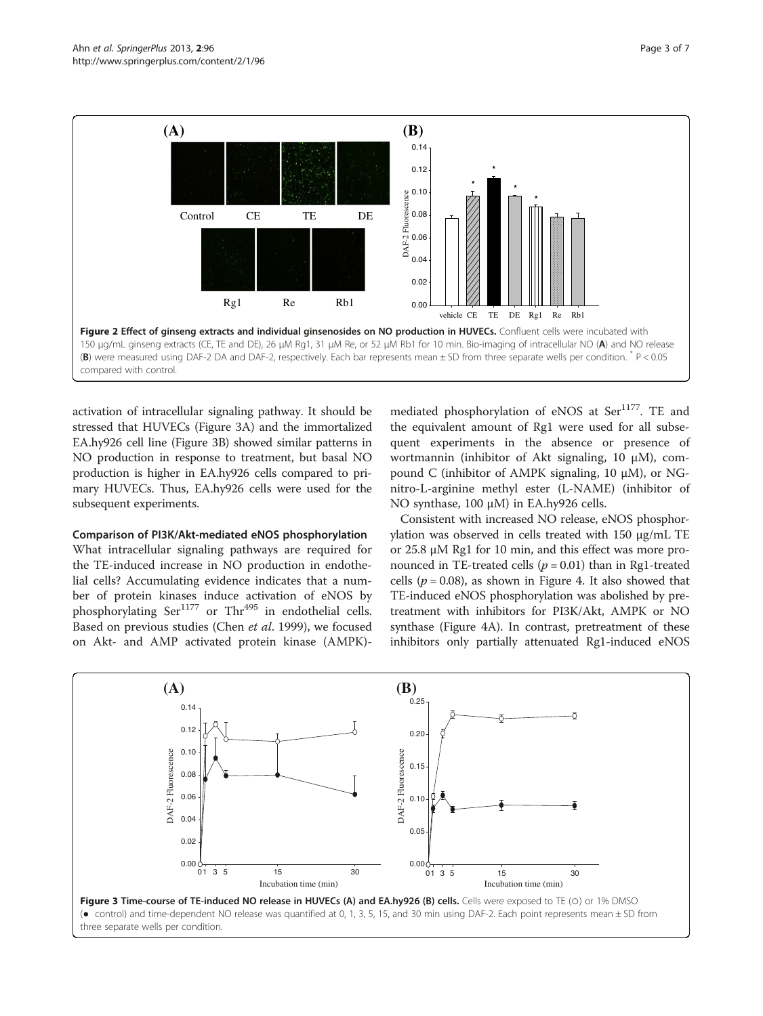<span id="page-2-0"></span>

activation of intracellular signaling pathway. It should be stressed that HUVECs (Figure 3A) and the immortalized EA.hy926 cell line (Figure 3B) showed similar patterns in NO production in response to treatment, but basal NO production is higher in EA.hy926 cells compared to primary HUVECs. Thus, EA.hy926 cells were used for the subsequent experiments.

#### Comparison of PI3K/Akt-mediated eNOS phosphorylation

What intracellular signaling pathways are required for the TE-induced increase in NO production in endothelial cells? Accumulating evidence indicates that a number of protein kinases induce activation of eNOS by phosphorylating  $\text{Ser}^{1177}$  or  $\text{Thr}^{495}$  in endothelial cells. Based on previous studies (Chen et al. [1999\)](#page-5-0), we focused on Akt- and AMP activated protein kinase (AMPK)-

mediated phosphorylation of eNOS at Ser<sup>1177</sup>. TE and the equivalent amount of Rg1 were used for all subsequent experiments in the absence or presence of wortmannin (inhibitor of Akt signaling, 10 μM), compound C (inhibitor of AMPK signaling, 10 μM), or NGnitro-L-arginine methyl ester (L-NAME) (inhibitor of NO synthase, 100 μM) in EA.hy926 cells.

Consistent with increased NO release, eNOS phosphorylation was observed in cells treated with 150 μg/mL TE or 25.8 μM Rg1 for 10 min, and this effect was more pronounced in TE-treated cells ( $p = 0.01$ ) than in Rg1-treated cells ( $p = 0.08$ ), as shown in Figure [4.](#page-3-0) It also showed that TE-induced eNOS phosphorylation was abolished by pretreatment with inhibitors for PI3K/Akt, AMPK or NO synthase (Figure [4A](#page-3-0)). In contrast, pretreatment of these inhibitors only partially attenuated Rg1-induced eNOS



three separate wells per condition.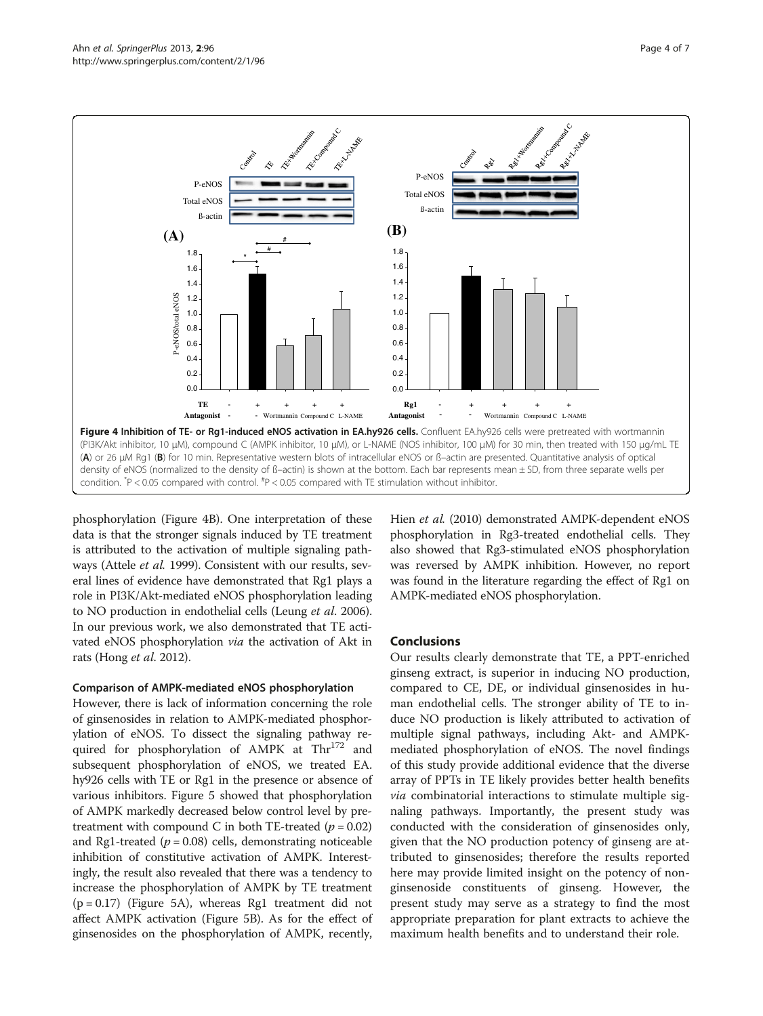<span id="page-3-0"></span>

phosphorylation (Figure 4B). One interpretation of these data is that the stronger signals induced by TE treatment is attributed to the activation of multiple signaling pathways (Attele et al. [1999\)](#page-5-0). Consistent with our results, several lines of evidence have demonstrated that Rg1 plays a role in PI3K/Akt-mediated eNOS phosphorylation leading to NO production in endothelial cells (Leung et al. [2006](#page-6-0)). In our previous work, we also demonstrated that TE activated eNOS phosphorylation via the activation of Akt in rats (Hong et al. [2012\)](#page-5-0).

## Comparison of AMPK-mediated eNOS phosphorylation

However, there is lack of information concerning the role of ginsenosides in relation to AMPK-mediated phosphorylation of eNOS. To dissect the signaling pathway required for phosphorylation of AMPK at Thr<sup>172</sup> and subsequent phosphorylation of eNOS, we treated EA. hy926 cells with TE or Rg1 in the presence or absence of various inhibitors. Figure [5](#page-4-0) showed that phosphorylation of AMPK markedly decreased below control level by pretreatment with compound C in both TE-treated ( $p = 0.02$ ) and Rg1-treated ( $p = 0.08$ ) cells, demonstrating noticeable inhibition of constitutive activation of AMPK. Interestingly, the result also revealed that there was a tendency to increase the phosphorylation of AMPK by TE treatment  $(p = 0.17)$  (Figure [5](#page-4-0)A), whereas Rg1 treatment did not affect AMPK activation (Figure [5B](#page-4-0)). As for the effect of ginsenosides on the phosphorylation of AMPK, recently,

Hien et al. [\(2010](#page-5-0)) demonstrated AMPK-dependent eNOS phosphorylation in Rg3-treated endothelial cells. They also showed that Rg3-stimulated eNOS phosphorylation was reversed by AMPK inhibition. However, no report was found in the literature regarding the effect of Rg1 on AMPK-mediated eNOS phosphorylation.

## Conclusions

Our results clearly demonstrate that TE, a PPT-enriched ginseng extract, is superior in inducing NO production, compared to CE, DE, or individual ginsenosides in human endothelial cells. The stronger ability of TE to induce NO production is likely attributed to activation of multiple signal pathways, including Akt- and AMPKmediated phosphorylation of eNOS. The novel findings of this study provide additional evidence that the diverse array of PPTs in TE likely provides better health benefits *via* combinatorial interactions to stimulate multiple signaling pathways. Importantly, the present study was conducted with the consideration of ginsenosides only, given that the NO production potency of ginseng are attributed to ginsenosides; therefore the results reported here may provide limited insight on the potency of nonginsenoside constituents of ginseng. However, the present study may serve as a strategy to find the most appropriate preparation for plant extracts to achieve the maximum health benefits and to understand their role.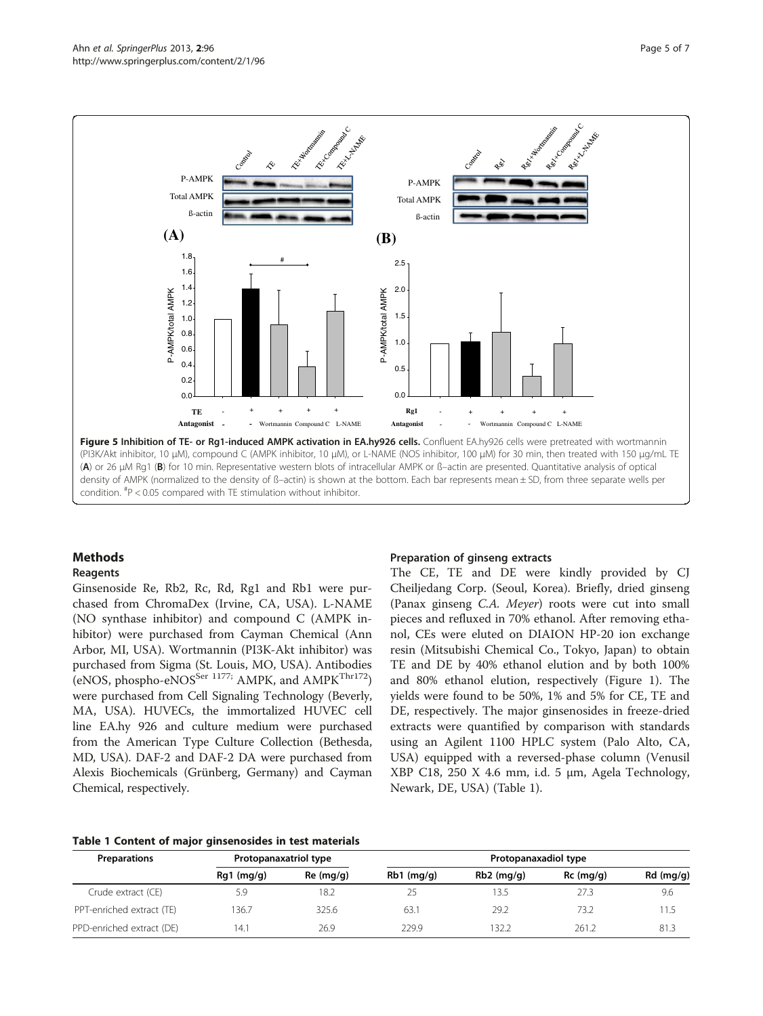<span id="page-4-0"></span>

## Methods

#### Reagents

Ginsenoside Re, Rb2, Rc, Rd, Rg1 and Rb1 were purchased from ChromaDex (Irvine, CA, USA). L-NAME (NO synthase inhibitor) and compound C (AMPK inhibitor) were purchased from Cayman Chemical (Ann Arbor, MI, USA). Wortmannin (PI3K-Akt inhibitor) was purchased from Sigma (St. Louis, MO, USA). Antibodies (eNOS, phospho-eNOS<sup>Ser 1177;</sup> AMPK, and AMPK<sup>Thr172</sup>) were purchased from Cell Signaling Technology (Beverly, MA, USA). HUVECs, the immortalized HUVEC cell line EA.hy 926 and culture medium were purchased from the American Type Culture Collection (Bethesda, MD, USA). DAF-2 and DAF-2 DA were purchased from Alexis Biochemicals (Grünberg, Germany) and Cayman Chemical, respectively.

#### Preparation of ginseng extracts

The CE, TE and DE were kindly provided by CJ Cheiljedang Corp. (Seoul, Korea). Briefly, dried ginseng (Panax ginseng C.A. Meyer) roots were cut into small pieces and refluxed in 70% ethanol. After removing ethanol, CEs were eluted on DIAION HP-20 ion exchange resin (Mitsubishi Chemical Co., Tokyo, Japan) to obtain TE and DE by 40% ethanol elution and by both 100% and 80% ethanol elution, respectively (Figure [1\)](#page-1-0). The yields were found to be 50%, 1% and 5% for CE, TE and DE, respectively. The major ginsenosides in freeze-dried extracts were quantified by comparison with standards using an Agilent 1100 HPLC system (Palo Alto, CA, USA) equipped with a reversed-phase column (Venusil XBP C18, 250 X 4.6 mm, i.d. 5 μm, Agela Technology, Newark, DE, USA) (Table 1).

## Table 1 Content of major ginsenosides in test materials

| <b>Preparations</b>       | Protopanaxatriol type |           | Protopanaxadiol type |              |             |             |
|---------------------------|-----------------------|-----------|----------------------|--------------|-------------|-------------|
|                           | $Rg1$ (mg/g)          | Re (mg/q) | $Rb1$ (mg/g)         | $Rb2$ (mg/g) | $Rc$ (mg/g) | $Rd$ (mg/g) |
| Crude extract (CE)        | 5.9                   | 18.2      | 25                   | 13.5         | 27.3        | 9.6         |
| PPT-enriched extract (TE) | 136.7                 | 325.6     | 63.1                 | 29.2         | 73.2        | 11.5        |
| PPD-enriched extract (DE) | 14.1                  | 26.9      | 229.9                | 132.2        | 261.2       | 81.3        |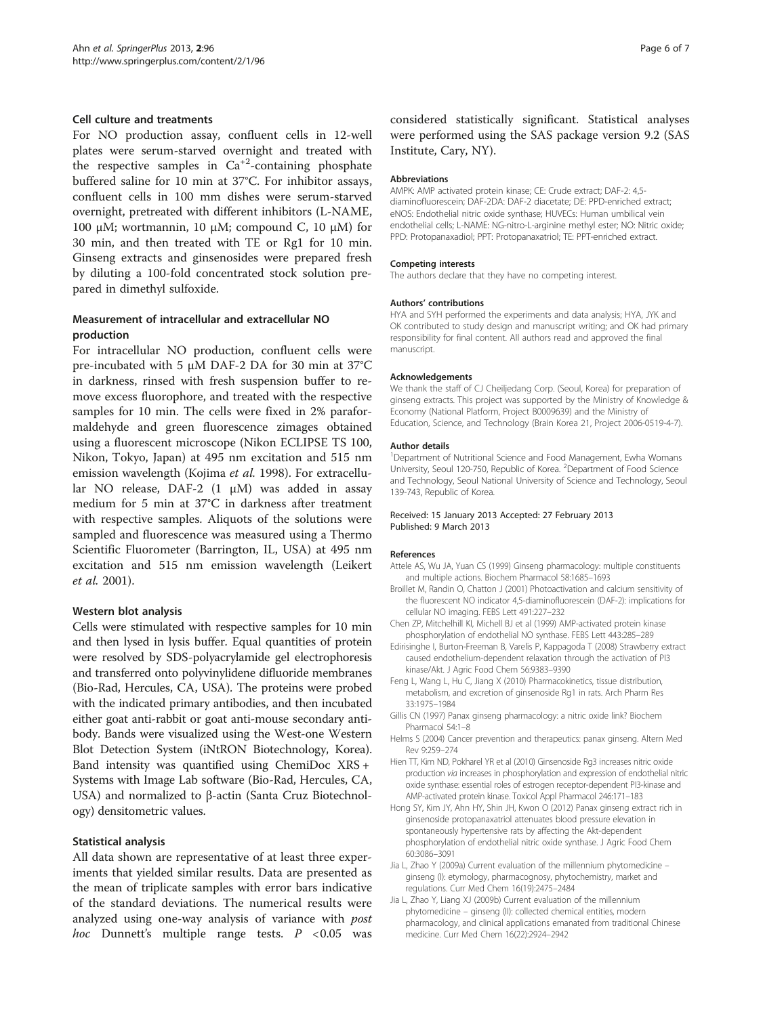### <span id="page-5-0"></span>Cell culture and treatments

For NO production assay, confluent cells in 12-well plates were serum-starved overnight and treated with the respective samples in  $Ca^{+2}$ -containing phosphate buffered saline for 10 min at 37°C. For inhibitor assays, confluent cells in 100 mm dishes were serum-starved overnight, pretreated with different inhibitors (L-NAME, 100 μM; wortmannin, 10 μM; compound C, 10 μM) for 30 min, and then treated with TE or Rg1 for 10 min. Ginseng extracts and ginsenosides were prepared fresh by diluting a 100-fold concentrated stock solution prepared in dimethyl sulfoxide.

## Measurement of intracellular and extracellular NO production

For intracellular NO production, confluent cells were pre-incubated with 5 μM DAF-2 DA for 30 min at 37°C in darkness, rinsed with fresh suspension buffer to remove excess fluorophore, and treated with the respective samples for 10 min. The cells were fixed in 2% paraformaldehyde and green fluorescence zimages obtained using a fluorescent microscope (Nikon ECLIPSE TS 100, Nikon, Tokyo, Japan) at 495 nm excitation and 515 nm emission wavelength (Kojima et al. [1998](#page-6-0)). For extracellular NO release, DAF-2 (1 μM) was added in assay medium for 5 min at 37°C in darkness after treatment with respective samples. Aliquots of the solutions were sampled and fluorescence was measured using a Thermo Scientific Fluorometer (Barrington, IL, USA) at 495 nm excitation and 515 nm emission wavelength (Leikert et al. [2001\)](#page-6-0).

## Western blot analysis

Cells were stimulated with respective samples for 10 min and then lysed in lysis buffer. Equal quantities of protein were resolved by SDS-polyacrylamide gel electrophoresis and transferred onto polyvinylidene difluoride membranes (Bio-Rad, Hercules, CA, USA). The proteins were probed with the indicated primary antibodies, and then incubated either goat anti-rabbit or goat anti-mouse secondary antibody. Bands were visualized using the West-one Western Blot Detection System (iNtRON Biotechnology, Korea). Band intensity was quantified using ChemiDoc XRS + Systems with Image Lab software (Bio-Rad, Hercules, CA, USA) and normalized to β-actin (Santa Cruz Biotechnology) densitometric values.

#### Statistical analysis

All data shown are representative of at least three experiments that yielded similar results. Data are presented as the mean of triplicate samples with error bars indicative of the standard deviations. The numerical results were analyzed using one-way analysis of variance with *post* hoc Dunnett's multiple range tests.  $P < 0.05$  was

considered statistically significant. Statistical analyses were performed using the SAS package version 9.2 (SAS Institute, Cary, NY).

#### Abbreviations

AMPK: AMP activated protein kinase; CE: Crude extract; DAF-2: 4,5 diaminofluorescein; DAF-2DA: DAF-2 diacetate; DE: PPD-enriched extract; eNOS: Endothelial nitric oxide synthase; HUVECs: Human umbilical vein endothelial cells; L-NAME: NG-nitro-L-arginine methyl ester; NO: Nitric oxide; PPD: Protopanaxadiol; PPT: Protopanaxatriol; TE: PPT-enriched extract.

#### Competing interests

The authors declare that they have no competing interest.

#### Authors' contributions

HYA and SYH performed the experiments and data analysis; HYA, JYK and OK contributed to study design and manuscript writing; and OK had primary responsibility for final content. All authors read and approved the final manuscript.

#### Acknowledgements

We thank the staff of CJ Cheiljedang Corp. (Seoul, Korea) for preparation of ginseng extracts. This project was supported by the Ministry of Knowledge & Economy (National Platform, Project B0009639) and the Ministry of Education, Science, and Technology (Brain Korea 21, Project 2006-0519-4-7).

#### Author details

<sup>1</sup>Department of Nutritional Science and Food Management, Ewha Womans University, Seoul 120-750, Republic of Korea. <sup>2</sup>Department of Food Science and Technology, Seoul National University of Science and Technology, Seoul 139-743, Republic of Korea.

#### Received: 15 January 2013 Accepted: 27 February 2013 Published: 9 March 2013

#### References

- Attele AS, Wu JA, Yuan CS (1999) Ginseng pharmacology: multiple constituents and multiple actions. Biochem Pharmacol 58:1685–1693
- Broillet M, Randin O, Chatton J (2001) Photoactivation and calcium sensitivity of the fluorescent NO indicator 4,5-diaminofluorescein (DAF-2): implications for cellular NO imaging. FEBS Lett 491:227–232
- Chen ZP, Mitchelhill KI, Michell BJ et al (1999) AMP-activated protein kinase phosphorylation of endothelial NO synthase. FEBS Lett 443:285–289
- Edirisinghe I, Burton-Freeman B, Varelis P, Kappagoda T (2008) Strawberry extract caused endothelium-dependent relaxation through the activation of PI3 kinase/Akt. J Agric Food Chem 56:9383–9390
- Feng L, Wang L, Hu C, Jiang X (2010) Pharmacokinetics, tissue distribution, metabolism, and excretion of ginsenoside Rg1 in rats. Arch Pharm Res 33:1975–1984
- Gillis CN (1997) Panax ginseng pharmacology: a nitric oxide link? Biochem Pharmacol 54:1–8
- Helms S (2004) Cancer prevention and therapeutics: panax ginseng. Altern Med Rev 9:259–274
- Hien TT, Kim ND, Pokharel YR et al (2010) Ginsenoside Rg3 increases nitric oxide production via increases in phosphorylation and expression of endothelial nitric oxide synthase: essential roles of estrogen receptor-dependent PI3-kinase and AMP-activated protein kinase. Toxicol Appl Pharmacol 246:171–183
- Hong SY, Kim JY, Ahn HY, Shin JH, Kwon O (2012) Panax ginseng extract rich in ginsenoside protopanaxatriol attenuates blood pressure elevation in spontaneously hypertensive rats by affecting the Akt-dependent phosphorylation of endothelial nitric oxide synthase. J Agric Food Chem 60:3086–3091
- Jia L, Zhao Y (2009a) Current evaluation of the millennium phytomedicine ginseng (I): etymology, pharmacognosy, phytochemistry, market and regulations. Curr Med Chem 16(19):2475–2484
- Jia L, Zhao Y, Liang XJ (2009b) Current evaluation of the millennium phytomedicine – ginseng (II): collected chemical entities, modern pharmacology, and clinical applications emanated from traditional Chinese medicine. Curr Med Chem 16(22):2924–2942